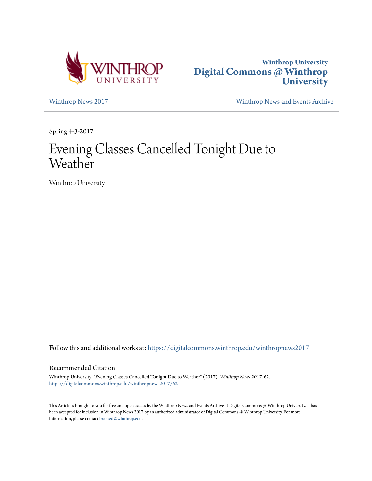



[Winthrop News 2017](https://digitalcommons.winthrop.edu/winthropnews2017?utm_source=digitalcommons.winthrop.edu%2Fwinthropnews2017%2F62&utm_medium=PDF&utm_campaign=PDFCoverPages) [Winthrop News and Events Archive](https://digitalcommons.winthrop.edu/winthropnewsarchives?utm_source=digitalcommons.winthrop.edu%2Fwinthropnews2017%2F62&utm_medium=PDF&utm_campaign=PDFCoverPages)

Spring 4-3-2017

## Evening Classes Cancelled Tonight Due to Weather

Winthrop University

Follow this and additional works at: [https://digitalcommons.winthrop.edu/winthropnews2017](https://digitalcommons.winthrop.edu/winthropnews2017?utm_source=digitalcommons.winthrop.edu%2Fwinthropnews2017%2F62&utm_medium=PDF&utm_campaign=PDFCoverPages)

## Recommended Citation

Winthrop University, "Evening Classes Cancelled Tonight Due to Weather" (2017). *Winthrop News 2017*. 62. [https://digitalcommons.winthrop.edu/winthropnews2017/62](https://digitalcommons.winthrop.edu/winthropnews2017/62?utm_source=digitalcommons.winthrop.edu%2Fwinthropnews2017%2F62&utm_medium=PDF&utm_campaign=PDFCoverPages)

This Article is brought to you for free and open access by the Winthrop News and Events Archive at Digital Commons @ Winthrop University. It has been accepted for inclusion in Winthrop News 2017 by an authorized administrator of Digital Commons @ Winthrop University. For more information, please contact [bramed@winthrop.edu](mailto:bramed@winthrop.edu).